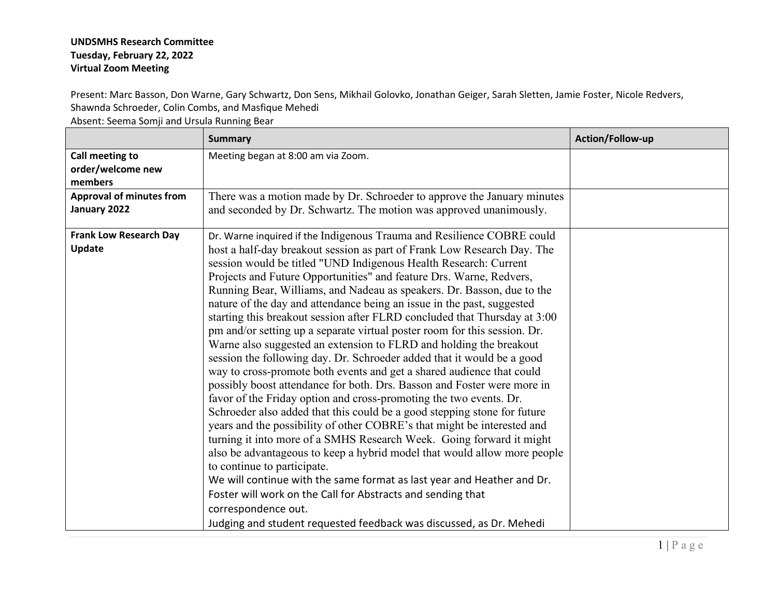## **UNDSMHS Research Committee Tuesday, February 22, 2022 Virtual Zoom Meeting**

Present: Marc Basson, Don Warne, Gary Schwartz, Don Sens, Mikhail Golovko, Jonathan Geiger, Sarah Sletten, Jamie Foster, Nicole Redvers, Shawnda Schroeder, Colin Combs, and Masfique Mehedi

Absent: Seema Somji and Ursula Running Bear

|                                      | <b>Summary</b>                                                                                                                                  | Action/Follow-up |
|--------------------------------------|-------------------------------------------------------------------------------------------------------------------------------------------------|------------------|
| Call meeting to<br>order/welcome new | Meeting began at 8:00 am via Zoom.                                                                                                              |                  |
| members                              |                                                                                                                                                 |                  |
| <b>Approval of minutes from</b>      | There was a motion made by Dr. Schroeder to approve the January minutes                                                                         |                  |
| January 2022                         | and seconded by Dr. Schwartz. The motion was approved unanimously.                                                                              |                  |
| <b>Frank Low Research Day</b>        | Dr. Warne inquired if the Indigenous Trauma and Resilience COBRE could                                                                          |                  |
| <b>Update</b>                        | host a half-day breakout session as part of Frank Low Research Day. The                                                                         |                  |
|                                      | session would be titled "UND Indigenous Health Research: Current                                                                                |                  |
|                                      | Projects and Future Opportunities" and feature Drs. Warne, Redvers,                                                                             |                  |
|                                      | Running Bear, Williams, and Nadeau as speakers. Dr. Basson, due to the                                                                          |                  |
|                                      | nature of the day and attendance being an issue in the past, suggested                                                                          |                  |
|                                      | starting this breakout session after FLRD concluded that Thursday at 3:00                                                                       |                  |
|                                      | pm and/or setting up a separate virtual poster room for this session. Dr.                                                                       |                  |
|                                      | Warne also suggested an extension to FLRD and holding the breakout                                                                              |                  |
|                                      | session the following day. Dr. Schroeder added that it would be a good                                                                          |                  |
|                                      | way to cross-promote both events and get a shared audience that could                                                                           |                  |
|                                      | possibly boost attendance for both. Drs. Basson and Foster were more in                                                                         |                  |
|                                      | favor of the Friday option and cross-promoting the two events. Dr.                                                                              |                  |
|                                      | Schroeder also added that this could be a good stepping stone for future                                                                        |                  |
|                                      | years and the possibility of other COBRE's that might be interested and<br>turning it into more of a SMHS Research Week. Going forward it might |                  |
|                                      | also be advantageous to keep a hybrid model that would allow more people                                                                        |                  |
|                                      | to continue to participate.                                                                                                                     |                  |
|                                      | We will continue with the same format as last year and Heather and Dr.                                                                          |                  |
|                                      | Foster will work on the Call for Abstracts and sending that                                                                                     |                  |
|                                      |                                                                                                                                                 |                  |
|                                      | correspondence out.                                                                                                                             |                  |
|                                      | Judging and student requested feedback was discussed, as Dr. Mehedi                                                                             |                  |